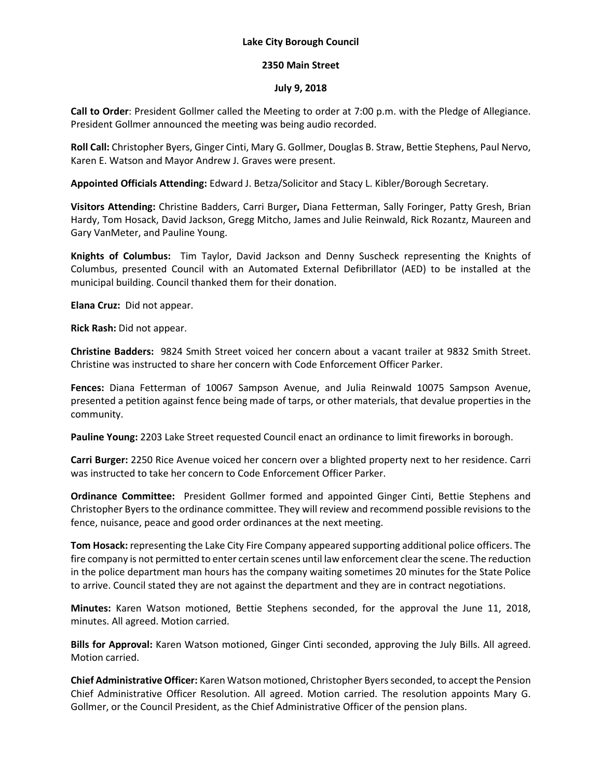## **Lake City Borough Council**

## **2350 Main Street**

## **July 9, 2018**

**Call to Order**: President Gollmer called the Meeting to order at 7:00 p.m. with the Pledge of Allegiance. President Gollmer announced the meeting was being audio recorded.

**Roll Call:** Christopher Byers, Ginger Cinti, Mary G. Gollmer, Douglas B. Straw, Bettie Stephens, Paul Nervo, Karen E. Watson and Mayor Andrew J. Graves were present.

**Appointed Officials Attending:** Edward J. Betza/Solicitor and Stacy L. Kibler/Borough Secretary.

**Visitors Attending:** Christine Badders, Carri Burger**,** Diana Fetterman, Sally Foringer, Patty Gresh, Brian Hardy, Tom Hosack, David Jackson, Gregg Mitcho, James and Julie Reinwald, Rick Rozantz, Maureen and Gary VanMeter, and Pauline Young.

**Knights of Columbus:** Tim Taylor, David Jackson and Denny Suscheck representing the Knights of Columbus, presented Council with an Automated External Defibrillator (AED) to be installed at the municipal building. Council thanked them for their donation.

**Elana Cruz:** Did not appear.

**Rick Rash:** Did not appear.

**Christine Badders:** 9824 Smith Street voiced her concern about a vacant trailer at 9832 Smith Street. Christine was instructed to share her concern with Code Enforcement Officer Parker.

**Fences:** Diana Fetterman of 10067 Sampson Avenue, and Julia Reinwald 10075 Sampson Avenue, presented a petition against fence being made of tarps, or other materials, that devalue properties in the community.

**Pauline Young:** 2203 Lake Street requested Council enact an ordinance to limit fireworks in borough.

**Carri Burger:** 2250 Rice Avenue voiced her concern over a blighted property next to her residence. Carri was instructed to take her concern to Code Enforcement Officer Parker.

**Ordinance Committee:** President Gollmer formed and appointed Ginger Cinti, Bettie Stephens and Christopher Byers to the ordinance committee. They will review and recommend possible revisions to the fence, nuisance, peace and good order ordinances at the next meeting.

**Tom Hosack:** representing the Lake City Fire Company appeared supporting additional police officers. The fire company is not permitted to enter certain scenes until law enforcement clear the scene. The reduction in the police department man hours has the company waiting sometimes 20 minutes for the State Police to arrive. Council stated they are not against the department and they are in contract negotiations.

**Minutes:** Karen Watson motioned, Bettie Stephens seconded, for the approval the June 11, 2018, minutes. All agreed. Motion carried.

**Bills for Approval:** Karen Watson motioned, Ginger Cinti seconded, approving the July Bills. All agreed. Motion carried.

**Chief Administrative Officer:** Karen Watson motioned, Christopher Byers seconded, to accept the Pension Chief Administrative Officer Resolution. All agreed. Motion carried. The resolution appoints Mary G. Gollmer, or the Council President, as the Chief Administrative Officer of the pension plans.